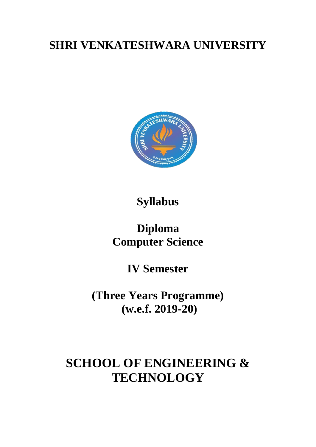## **SHRI VENKATESHWARA UNIVERSITY**



### **Syllabus**

### **Diploma Computer Science**

**IV Semester**

**(Three Years Programme) (w.e.f. 2019-20)**

# **SCHOOL OF ENGINEERING & TECHNOLOGY**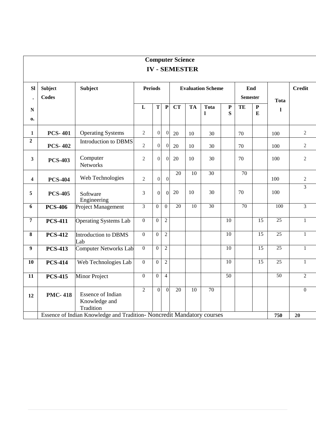| <b>Computer Science</b> |                                                                                     |                                                        |                |                  |                          |                        |           |                  |                            |                 |                          |                 |                  |
|-------------------------|-------------------------------------------------------------------------------------|--------------------------------------------------------|----------------|------------------|--------------------------|------------------------|-----------|------------------|----------------------------|-----------------|--------------------------|-----------------|------------------|
|                         |                                                                                     |                                                        |                |                  |                          | <b>IV - SEMESTER</b>   |           |                  |                            |                 |                          |                 |                  |
| <b>Sl</b>               | <b>Subject</b><br><b>Codes</b>                                                      | <b>Subject</b>                                         | <b>Periods</b> |                  | <b>Evaluation Scheme</b> |                        |           |                  | End<br><b>Semester</b>     |                 | <b>Tota</b>              | <b>Credit</b>   |                  |
| ${\bf N}$<br>0.         |                                                                                     |                                                        | L              | T                | ${\bf P}$                | $\overline{\text{CT}}$ | <b>TA</b> | <b>Tota</b><br>1 | $\mathbf P$<br>$\mathbf S$ | TE              | ${\bf P}$<br>$\mathbf E$ | ı               |                  |
| $\mathbf{1}$            | <b>PCS-401</b>                                                                      | <b>Operating Systems</b>                               | $\overline{2}$ | $\overline{0}$   | $\boldsymbol{0}$         | 20                     | 10        | 30               |                            | 70              |                          | 100             | $\overline{2}$   |
| $\overline{2}$          | <b>PCS-402</b>                                                                      | Introduction to DBMS                                   | $\overline{2}$ | $\overline{0}$   | $\boldsymbol{0}$         | 20                     | 10        | 30               |                            | 70              |                          | 100             | $\overline{2}$   |
| 3                       | <b>PCS-403</b>                                                                      | Computer<br>Networks                                   | $\overline{2}$ | $\overline{0}$   | $\overline{0}$           | 20                     | 10        | 30               |                            | 70              |                          | 100             | $\overline{2}$   |
| $\overline{\mathbf{4}}$ | <b>PCS-404</b>                                                                      | Web Technologies                                       | $\overline{2}$ | $\boldsymbol{0}$ | $\overline{0}$           | 20                     | 10        | $\overline{30}$  |                            | $\overline{70}$ |                          | 100             | $\sqrt{2}$       |
| 5                       | <b>PCS-405</b>                                                                      | Software<br>Engineering                                | 3              | $\overline{0}$   | $\overline{0}$           | 20                     | 10        | 30               |                            | 70              |                          | 100             | $\overline{3}$   |
| 6                       | <b>PCS-406</b>                                                                      | Project Management                                     | $\overline{3}$ | $\overline{0}$   | $\overline{0}$           | 20                     | 10        | $\overline{30}$  |                            | $\overline{70}$ |                          | 100             | $\overline{3}$   |
| $\overline{7}$          | <b>PCS-411</b>                                                                      | <b>Operating Systems Lab</b>                           | $\overline{0}$ | $\overline{0}$   | $\overline{2}$           |                        |           |                  | $\overline{10}$            |                 | $\overline{15}$          | $\overline{25}$ | $\mathbf{1}$     |
| 8                       | <b>PCS-412</b>                                                                      | Introduction to DBMS<br>Lab                            | $\overline{0}$ | $\overline{0}$   | $\overline{2}$           |                        |           |                  | $\overline{10}$            |                 | 15                       | $\overline{25}$ | $\mathbf{1}$     |
| 9                       | <b>PCS-413</b>                                                                      | <b>Computer Networks Lab</b>                           | $\mathbf{0}$   | $\boldsymbol{0}$ | $\overline{2}$           |                        |           |                  | 10                         |                 | $\overline{15}$          | 25              | $\mathbf{1}$     |
| 10                      | <b>PCS-414</b>                                                                      | Web Technologies Lab                                   | $\overline{0}$ | $\overline{0}$   | $\overline{2}$           |                        |           |                  | $\overline{10}$            |                 | $\overline{15}$          | 25              | $\mathbf{1}$     |
| $\overline{11}$         | <b>PCS-415</b>                                                                      | <b>Minor Project</b>                                   | $\overline{0}$ | $\mathbf{0}$     | $\overline{4}$           |                        |           |                  | 50                         |                 |                          | 50              | $\overline{2}$   |
| 12                      | <b>PMC-418</b>                                                                      | <b>Essence of Indian</b><br>Knowledge and<br>Tradition | $\overline{2}$ | $\overline{0}$   | $\overline{0}$           | 20                     | 10        | $\overline{70}$  |                            |                 |                          |                 | $\boldsymbol{0}$ |
|                         | Essence of Indian Knowledge and Tradition- Noncredit Mandatory courses<br>750<br>20 |                                                        |                |                  |                          |                        |           |                  |                            |                 |                          |                 |                  |

Г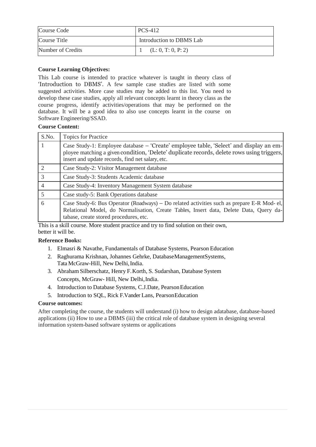| Course Code       | PCS-412                  |
|-------------------|--------------------------|
| Course Title      | Introduction to DBMS Lab |
| Number of Credits | (L: 0, T: 0, P: 2)       |

This Lab course is intended to practice whatever is taught in theory class of 'Introduction to DBMS'. A few sample case studies are listed with some suggested activities. More case studies may be added to this list. You need to develop these case studies, apply all relevant concepts learnt in theory class as the course progress, identify activities/operations that may be performed on the database. It will be a good idea to also use concepts learnt in the course on Software Engineering/SSAD.

#### **Course Content:**

| S.No.         | <b>Topics for Practice</b>                                                                                                                                                                                                               |
|---------------|------------------------------------------------------------------------------------------------------------------------------------------------------------------------------------------------------------------------------------------|
|               | Case Study-1: Employee database – 'Create' employee table, 'Select' and display an em-<br>ployee matching a given condition, 'Delete' duplicate records, delete rows using triggers,<br>insert and update records, find net salary, etc. |
|               | Case Study-2: Visitor Management database                                                                                                                                                                                                |
| $\mathcal{R}$ | Case Study-3: Students Academic database                                                                                                                                                                                                 |
|               | Case Study-4: Inventory Management System database                                                                                                                                                                                       |
|               | Case study-5: Bank Operations database                                                                                                                                                                                                   |
| 6             | Case Study-6: Bus Operator (Roadways) – Do related activities such as prepare E-R Mod-el,<br>Relational Model, do Normalisation, Create Tables, Insert data, Delete Data, Query da-<br>tabase, create stored procedures, etc.            |

This is a skill course. More student practice and try to find solution on their own, better it will be.

#### **Reference Books:**

- 1. Elmasri & Navathe, Fundamentals of Database Systems, Pearson Education
- 2. Raghurama Krishnan, Johannes Gehrke, DatabaseManagementSystems, Tata McGraw-Hill, New Delhi,India.
- 3. Abraham Silberschatz, Henry F.Korth, S. Sudarshan, Database System Concepts, McGraw- Hill, New Delhi,India.
- 4. Introduction to Database Systems, C.J.Date, PearsonEducation
- 5. Introduction to SQL, Rick F.Vander Lans, PearsonEducation

#### **Course outcomes:**

After completing the course, the students will understand (i) how to design adatabase, database-based applications (ii) How to use a DBMS (iii) the critical role of database system in designing several information system-based software systems or applications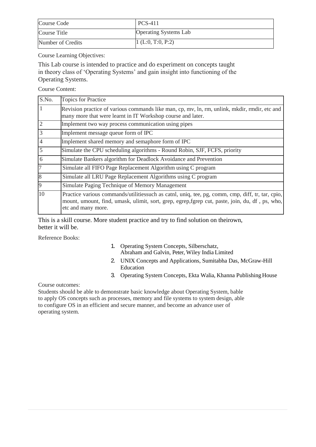| Course Code       | <b>PCS-411</b>               |
|-------------------|------------------------------|
| Course Title      | <b>Operating Systems Lab</b> |
| Number of Credits | 1(L:0, T:0, P:2)             |

This Lab course is intended to practice and do experiment on concepts taught in theory class of 'Operating Systems' and gain insight into functioning of the Operating Systems.

Course Content:

| S.No.          | <b>Topics for Practice</b>                                                                                                                                                                                                |
|----------------|---------------------------------------------------------------------------------------------------------------------------------------------------------------------------------------------------------------------------|
|                | Revision practice of various commands like man, cp, mv, ln, rm, unlink, mkdir, rmdir, etc and<br>many more that were learnt in IT Workshop course and later.                                                              |
| $\overline{2}$ | Implement two way process communication using pipes                                                                                                                                                                       |
| 3              | Implement message queue form of IPC                                                                                                                                                                                       |
| $\overline{4}$ | Implement shared memory and semaphore form of IPC                                                                                                                                                                         |
| 5              | Simulate the CPU scheduling algorithms - Round Robin, SJF, FCFS, priority                                                                                                                                                 |
| 6              | Simulate Bankers algorithm for Deadlock Avoidance and Prevention                                                                                                                                                          |
| 17             | Simulate all FIFO Page Replacement Algorithm using C program                                                                                                                                                              |
| 8              | Simulate all LRU Page Replacement Algorithms using C program                                                                                                                                                              |
| 9              | Simulate Paging Technique of Memory Management                                                                                                                                                                            |
| 10             | Practice various commands/utilitiessuch as catnl, uniq, tee, pg, comm, cmp, diff, tr, tar, cpio,<br>mount, umount, find, umask, ulimit, sort, grep, egrep, fgrep cut, paste, join, du, df, ps, who,<br>etc and many more. |

This is a skill course. More student practice and try to find solution on theirown, better it will be.

Reference Books:

- 1. Operating System Concepts, Silberschatz, Abraham and Galvin, Peter, Wiley India Limited
- 2. UNIX Concepts and Applications, Sumitabha Das, McGraw-Hill Education
- 3. Operating System Concepts, Ekta Walia, Khanna Publishing House

Course outcomes:

Students should be able to demonstrate basic knowledge about Operating System, bable to apply OS concepts such as processes, memory and file systems to system design, able to configure OS in an efficient and secure manner, and become an advance user of operating system.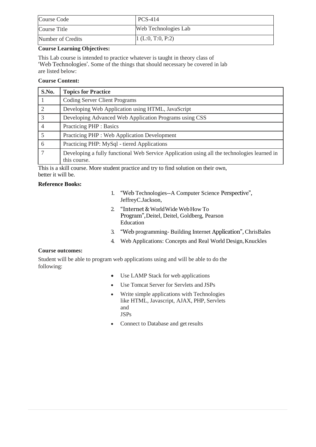| Course Code       | <b>PCS-414</b>       |
|-------------------|----------------------|
| Course Title      | Web Technologies Lab |
| Number of Credits | 1(L:0, T:0, P:2)     |

This Lab course is intended to practice whatever is taught in theory class of 'Web Technologies'. Some of the things that should necessary be covered in lab are listed below:

#### **Course Content:**

| S.No. | <b>Topics for Practice</b>                                                                                  |
|-------|-------------------------------------------------------------------------------------------------------------|
|       | <b>Coding Server Client Programs</b>                                                                        |
|       | Developing Web Application using HTML, JavaScript                                                           |
| 3     | Developing Advanced Web Application Programs using CSS                                                      |
|       | <b>Practicing PHP: Basics</b>                                                                               |
|       | Practicing PHP : Web Application Development                                                                |
| 6     | Practicing PHP: MySql - tiered Applications                                                                 |
|       | Developing a fully functional Web Service Application using all the technologies learned in<br>this course. |

This is a skill course. More student practice and try to find solution on their own, better it will be.

#### **Reference Books:**

- 1. "Web Technologies--A Computer Science Perspective", JeffreyC.Jackson,
- 2. "Internet & WorldWide WebHow To Program",Deitel, Deitel, Goldberg, Pearson Education
- 3. "Web programming- Building Internet Application", ChrisBales
- 4. Web Applications: Concepts and Real World Design, Knuckles

#### **Course outcomes:**

Student will be able to program web applications using and will be able to do the following:

- Use LAMP Stack for web applications
- Use Tomcat Server for Servlets and JSPs
- Write simple applications with Technologies like HTML, Javascript, AJAX, PHP, Servlets and JSPs
- Connect to Database and get results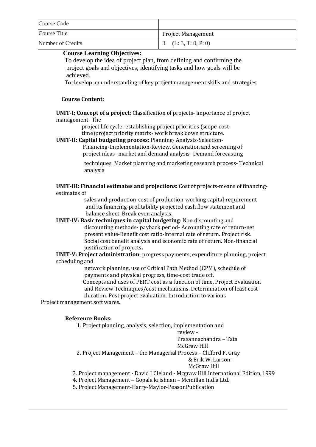| Course Code         |                           |
|---------------------|---------------------------|
| <b>Course Title</b> | <b>Project Management</b> |
| Number of Credits   | 3 (L: 3, T: 0, P: 0)      |

To develop the idea of project plan, from defining and confirming the project goals and objectives, identifying tasks and how goals will be achieved.

To develop an understanding of key project management skills and strategies.

#### **Course Content:**

**UNIT-I: Concept of a project**: Classification of projects- importance of project management- The

project life cycle- establishing project priorities (scope-costtime)project priority matrix- work break down structure.

**UNIT-II: Capital budgeting process:** Planning- Analysis-Selection-

Financing-Implementation-Review. Generation and screening of project ideas- market and demand analysis- Demand forecasting

techniques. Market planning and marketing research process- Technical analysis

**UNIT-III: Financial estimates and projections:** Cost of projects-means of financingestimates of

> sales and production-cost of production-working capital requirement and its financing-profitability projected cash flow statement and balance sheet. Break even analysis.

**UNIT-IV: Basic techniques in capital budgeting**: Non discounting and discounting methods- payback period- Accounting rate of return-net present value-Benefit cost ratio-internal rate of return. Project risk. Social cost benefit analysis and economic rate of return. Non-financial justification of projects**.**

**UNIT-V: Project administration**: progress payments, expenditure planning, project scheduling and

> network planning, use of Critical Path Method (CPM), schedule of payments and physical progress, time-cost trade off. Concepts and uses of PERT cost as a function of time, Project Evaluation and Review Techniques/cost mechanisms. Determination of least cost duration. Post project evaluation. Introduction to various

Project management soft wares.

#### **Reference Books:**

1. Project planning, analysis, selection, implementation and

review –

Prasannachandra – Tata McGraw Hill

2. Project Management – the Managerial Process – Clifford F. Gray

& Erik W. Larson -

McGraw Hill

- 3. Project management David I Cleland Mcgraw Hill International Edition,1999
- 4. Project Management Gopala krishnan Mcmillan India Ltd.
- 5. Project Management-Harry-Maylor-PeasonPublication